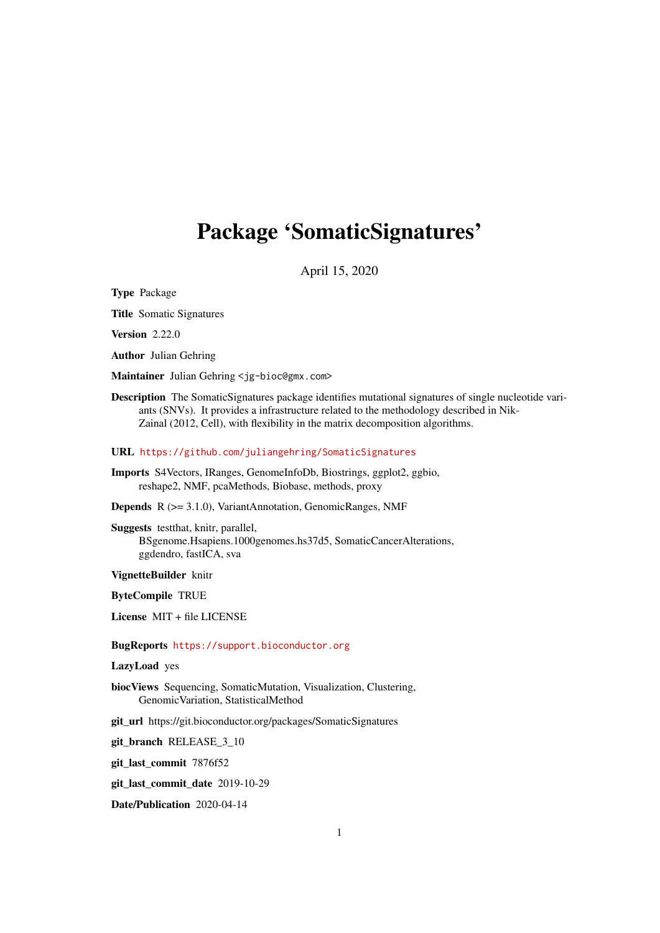# <span id="page-0-0"></span>Package 'SomaticSignatures'

April 15, 2020

Type Package

Title Somatic Signatures

Version 2.22.0

Author Julian Gehring

Maintainer Julian Gehring <jg-bioc@gmx.com>

Description The SomaticSignatures package identifies mutational signatures of single nucleotide variants (SNVs). It provides a infrastructure related to the methodology described in Nik-Zainal (2012, Cell), with flexibility in the matrix decomposition algorithms.

URL <https://github.com/juliangehring/SomaticSignatures>

Imports S4Vectors, IRanges, GenomeInfoDb, Biostrings, ggplot2, ggbio, reshape2, NMF, pcaMethods, Biobase, methods, proxy

Depends R (>= 3.1.0), VariantAnnotation, GenomicRanges, NMF

Suggests testthat, knitr, parallel, BSgenome.Hsapiens.1000genomes.hs37d5, SomaticCancerAlterations, ggdendro, fastICA, sva

VignetteBuilder knitr

ByteCompile TRUE

License MIT + file LICENSE

BugReports <https://support.bioconductor.org>

LazyLoad yes

biocViews Sequencing, SomaticMutation, Visualization, Clustering, GenomicVariation, StatisticalMethod

git\_url https://git.bioconductor.org/packages/SomaticSignatures

git branch RELEASE 3 10

git last commit 7876f52

git last commit date 2019-10-29

Date/Publication 2020-04-14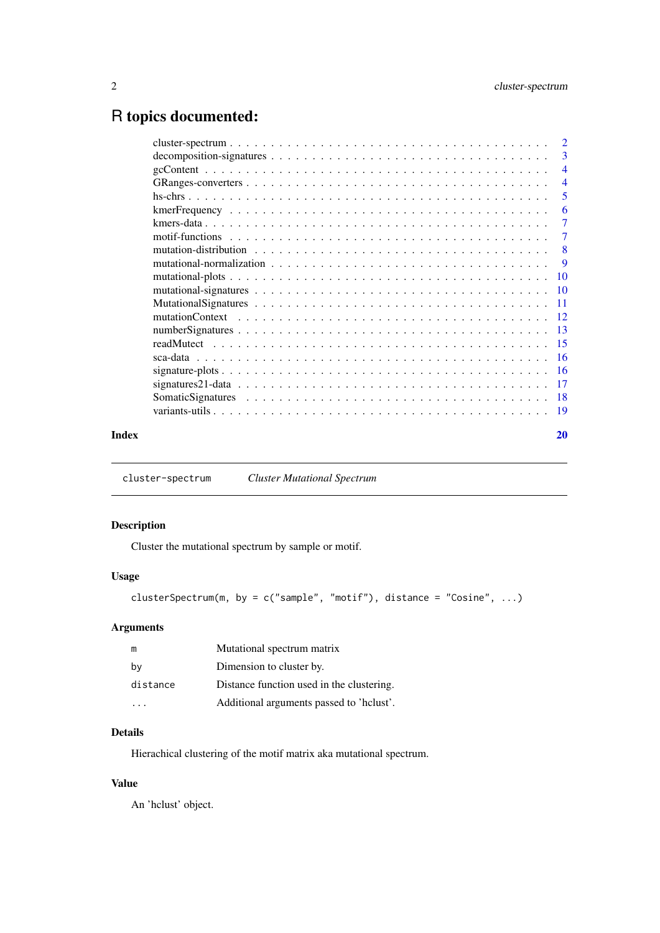## <span id="page-1-0"></span>R topics documented:

|      | $\overline{2}$ |
|------|----------------|
|      | 3              |
|      | $\overline{4}$ |
|      | $\overline{4}$ |
|      | 5              |
|      | 6              |
|      | 7              |
|      | 7              |
|      | 8              |
|      | 9              |
|      | <b>10</b>      |
|      |                |
| - 11 |                |
|      |                |
| - 13 |                |
|      |                |
|      |                |
|      |                |
|      | -17            |
|      | -18            |
|      | -19            |
|      |                |

#### **Index** [20](#page-19-0) and 20 and 20 and 20 and 20 and 20 and 20 and 20 and 20 and 20 and 20 and 20 and 20 and 20 and 20 and 20 and 20 and 20 and 20 and 20 and 20 and 20 and 20 and 20 and 20 and 20 and 20 and 20 and 20 and 20 and 20 a

cluster-spectrum *Cluster Mutational Spectrum*

## Description

Cluster the mutational spectrum by sample or motif.

## Usage

```
clusterSpectrum(m, by = c("sample", "motif"), distance = "Cosine", ...)
```
## Arguments

| m        | Mutational spectrum matrix                |
|----------|-------------------------------------------|
| by       | Dimension to cluster by.                  |
| distance | Distance function used in the clustering. |
|          | Additional arguments passed to 'helust'.  |

## Details

Hierachical clustering of the motif matrix aka mutational spectrum.

## Value

An 'hclust' object.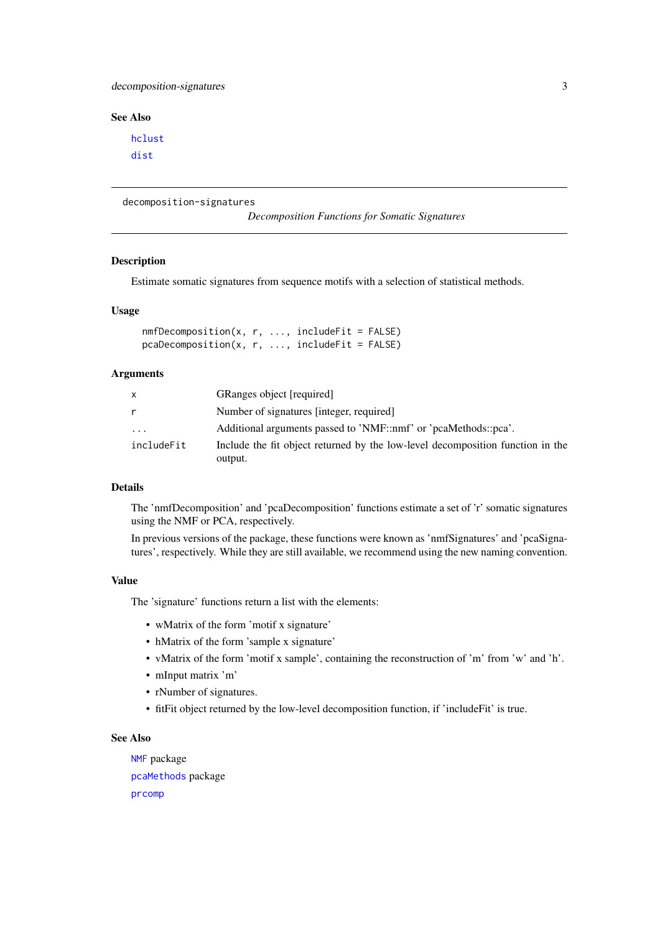#### <span id="page-2-0"></span>decomposition-signatures 3

## See Also

[hclust](#page-0-0) [dist](#page-0-0)

decomposition-signatures

*Decomposition Functions for Somatic Signatures*

## <span id="page-2-1"></span>Description

Estimate somatic signatures from sequence motifs with a selection of statistical methods.

## Usage

```
nmfDecomposition(x, r, ..., includeFit = FALSE)pcaDecomposition(x, r, ..., includeFit = FALSE)
```
## Arguments

| X          | GRanges object [required]                                                                 |
|------------|-------------------------------------------------------------------------------------------|
| r          | Number of signatures [integer, required]                                                  |
| .          | Additional arguments passed to 'NMF::nmf' or 'pcaMethods::pca'.                           |
| includeFit | Include the fit object returned by the low-level decomposition function in the<br>output. |

#### Details

The 'nmfDecomposition' and 'pcaDecomposition' functions estimate a set of 'r' somatic signatures using the NMF or PCA, respectively.

In previous versions of the package, these functions were known as 'nmfSignatures' and 'pcaSignatures', respectively. While they are still available, we recommend using the new naming convention.

## Value

The 'signature' functions return a list with the elements:

- wMatrix of the form 'motif x signature'
- hMatrix of the form 'sample x signature'
- vMatrix of the form 'motif x sample', containing the reconstruction of 'm' from 'w' and 'h'.
- mInput matrix 'm'
- rNumber of signatures.
- fitFit object returned by the low-level decomposition function, if 'includeFit' is true.

## See Also

```
NMF package
pcaMethods package
prcomp
```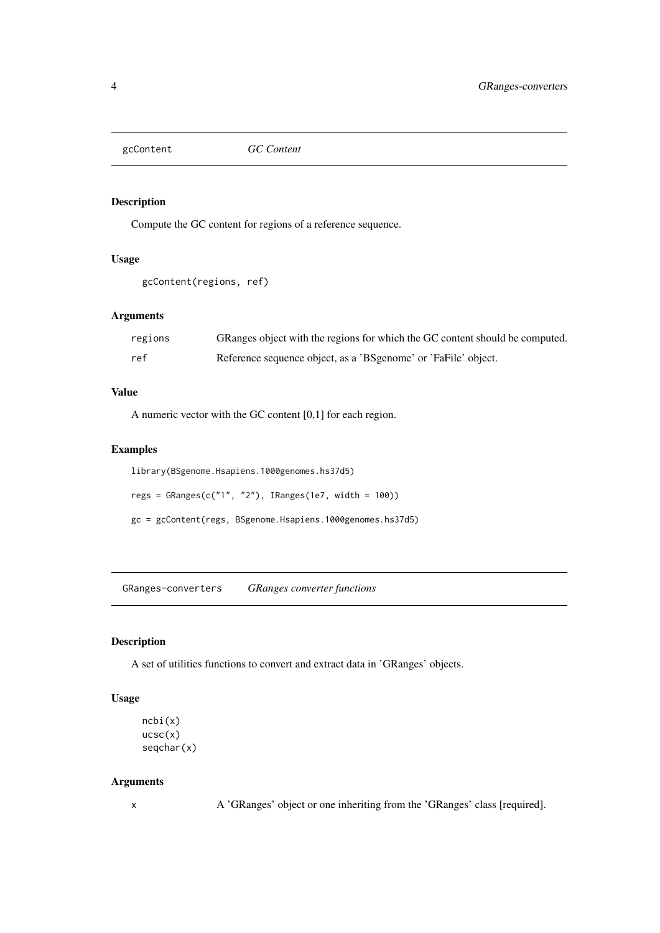<span id="page-3-0"></span>

## Description

Compute the GC content for regions of a reference sequence.

## Usage

```
gcContent(regions, ref)
```
## Arguments

| regions | GRanges object with the regions for which the GC content should be computed. |
|---------|------------------------------------------------------------------------------|
| ref     | Reference sequence object, as a 'BSgenome' or 'FaFile' object.               |

## Value

A numeric vector with the GC content [0,1] for each region.

## Examples

```
library(BSgenome.Hsapiens.1000genomes.hs37d5)
regs = GRanges(c("1", "2"), IRanges(1e7, width = 100))
gc = gcContent(regs, BSgenome.Hsapiens.1000genomes.hs37d5)
```
GRanges-converters *GRanges converter functions*

## Description

A set of utilities functions to convert and extract data in 'GRanges' objects.

## Usage

```
ncbi(x)
ucc(x)seqchar(x)
```
## Arguments

x A 'GRanges' object or one inheriting from the 'GRanges' class [required].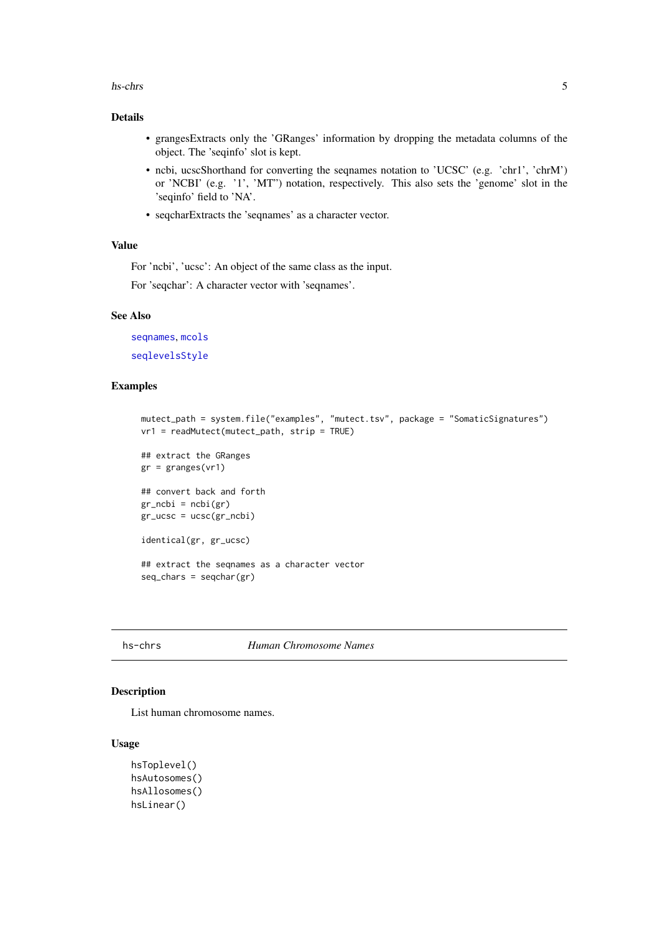#### <span id="page-4-0"></span>hs-chrs 5

#### Details

- grangesExtracts only the 'GRanges' information by dropping the metadata columns of the object. The 'seqinfo' slot is kept.
- ncbi, ucscShorthand for converting the seqnames notation to 'UCSC' (e.g. 'chr1', 'chrM') or 'NCBI' (e.g. '1', 'MT") notation, respectively. This also sets the 'genome' slot in the 'seqinfo' field to 'NA'.
- seqcharExtracts the 'seqnames' as a character vector.

#### Value

For 'ncbi', 'ucsc': An object of the same class as the input.

For 'seqchar': A character vector with 'seqnames'.

#### See Also

[seqnames](#page-0-0), [mcols](#page-0-0) [seqlevelsStyle](#page-0-0)

## Examples

```
mutect_path = system.file("examples", "mutect.tsv", package = "SomaticSignatures")
vr1 = readMutect(mutect_path, strip = TRUE)
## extract the GRanges
gr = <i>granges</i>(vr1)## convert back and forth
gr\_ncbi = ncbi(gr)gr\_ucsc = ucsc(gr\_ncbi)identical(gr, gr_ucsc)
## extract the seqnames as a character vector
seq_{\text{chars}} = \text{seq}_{\text{char}}(gr)
```
#### hs-chrs *Human Chromosome Names*

#### Description

List human chromosome names.

#### Usage

```
hsToplevel()
hsAutosomes()
hsAllosomes()
hsLinear()
```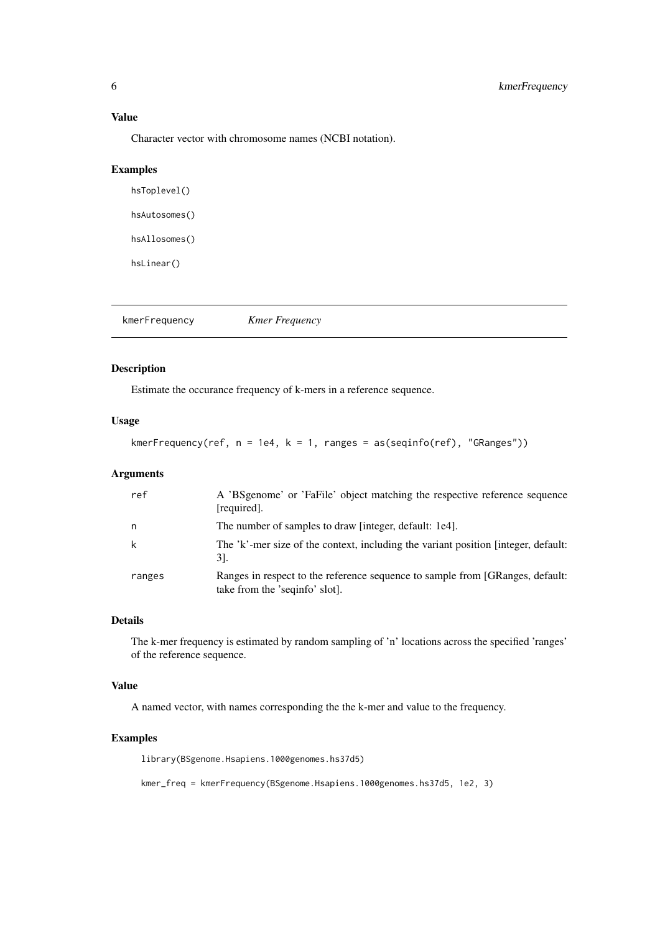<span id="page-5-0"></span>Value

Character vector with chromosome names (NCBI notation).

#### Examples

hsToplevel() hsAutosomes() hsAllosomes() hsLinear()

<span id="page-5-1"></span>kmerFrequency *Kmer Frequency*

## Description

Estimate the occurance frequency of k-mers in a reference sequence.

## Usage

```
kmerFrequency(ref, n = 1e4, k = 1, ranges = as(seqinfo(ref), "GRanges"))
```
## Arguments

| ref    | A 'BSgenome' or 'FaFile' object matching the respective reference sequence<br>[required].                       |
|--------|-----------------------------------------------------------------------------------------------------------------|
| n      | The number of samples to draw finteger, default: 1e4.                                                           |
|        | The 'k'-mer size of the context, including the variant position [integer, default:<br>31.                       |
| ranges | Ranges in respect to the reference sequence to sample from [GRanges, default:<br>take from the 'seqinfo' slot]. |

#### Details

The k-mer frequency is estimated by random sampling of 'n' locations across the specified 'ranges' of the reference sequence.

## Value

A named vector, with names corresponding the the k-mer and value to the frequency.

## Examples

library(BSgenome.Hsapiens.1000genomes.hs37d5)

kmer\_freq = kmerFrequency(BSgenome.Hsapiens.1000genomes.hs37d5, 1e2, 3)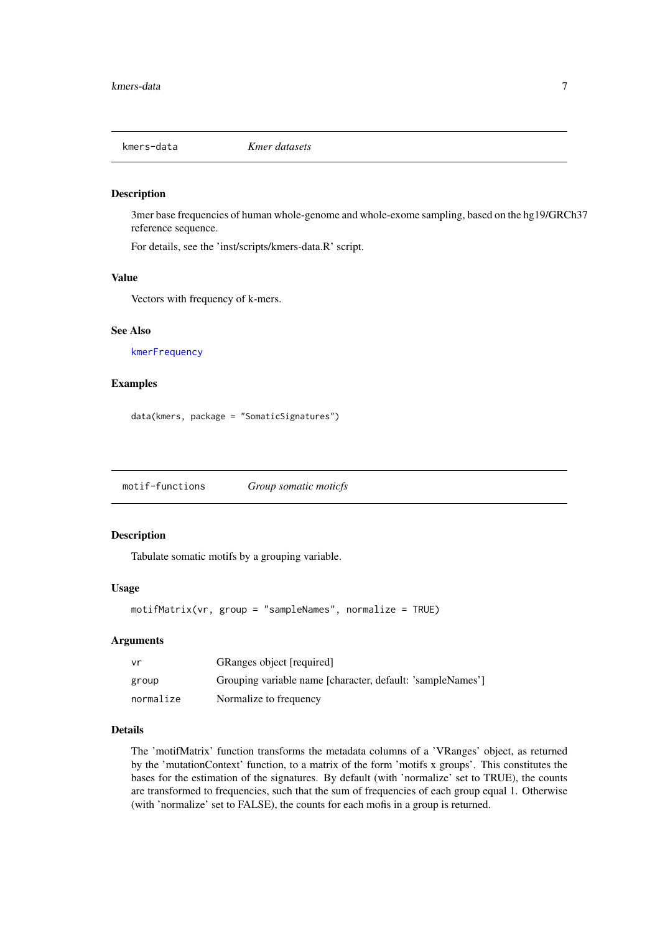<span id="page-6-0"></span>

#### Description

3mer base frequencies of human whole-genome and whole-exome sampling, based on the hg19/GRCh37 reference sequence.

For details, see the 'inst/scripts/kmers-data.R' script.

## Value

Vectors with frequency of k-mers.

#### See Also

[kmerFrequency](#page-5-1)

## Examples

data(kmers, package = "SomaticSignatures")

motif-functions *Group somatic moticfs*

## <span id="page-6-1"></span>Description

Tabulate somatic motifs by a grouping variable.

## Usage

```
motifMatrix(vr, group = "sampleNames", normalize = TRUE)
```
#### Arguments

| vr        | GRanges object [required]                                  |
|-----------|------------------------------------------------------------|
| group     | Grouping variable name [character, default: 'sampleNames'] |
| normalize | Normalize to frequency                                     |

#### Details

The 'motifMatrix' function transforms the metadata columns of a 'VRanges' object, as returned by the 'mutationContext' function, to a matrix of the form 'motifs x groups'. This constitutes the bases for the estimation of the signatures. By default (with 'normalize' set to TRUE), the counts are transformed to frequencies, such that the sum of frequencies of each group equal 1. Otherwise (with 'normalize' set to FALSE), the counts for each mofis in a group is returned.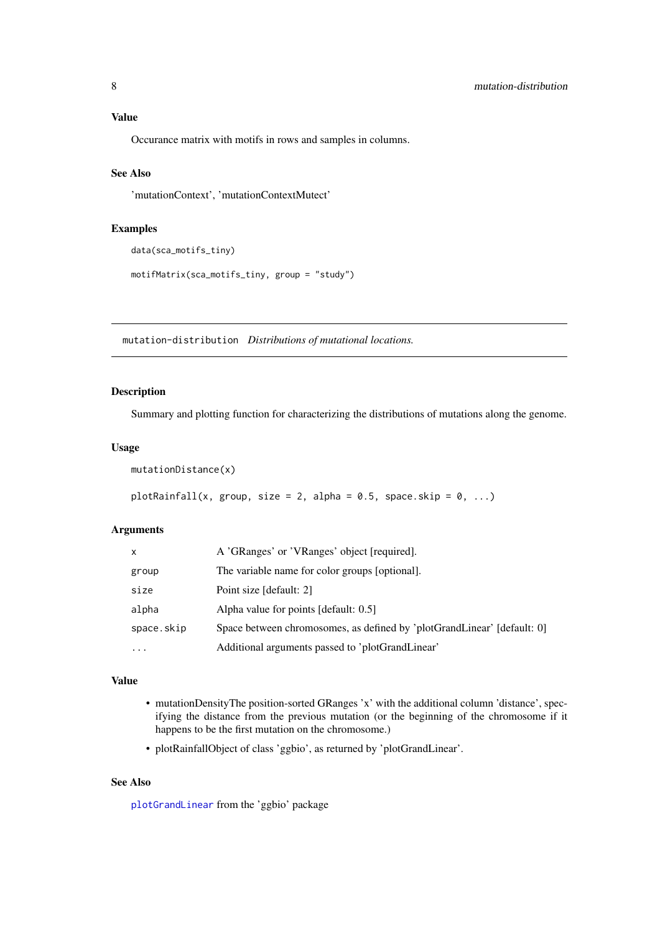## <span id="page-7-0"></span>Value

Occurance matrix with motifs in rows and samples in columns.

## See Also

'mutationContext', 'mutationContextMutect'

## Examples

```
data(sca_motifs_tiny)
```

```
motifMatrix(sca_motifs_tiny, group = "study")
```
mutation-distribution *Distributions of mutational locations.*

#### Description

Summary and plotting function for characterizing the distributions of mutations along the genome.

#### Usage

mutationDistance(x)

```
plotRainfall(x, group, size = 2, alpha = 0.5, space.skip = 0, ...)
```
#### Arguments

| x          | A 'GRanges' or 'VRanges' object [required].                             |
|------------|-------------------------------------------------------------------------|
| group      | The variable name for color groups [optional].                          |
| size       | Point size [default: 2]                                                 |
| alpha      | Alpha value for points [default: 0.5]                                   |
| space.skip | Space between chromosomes, as defined by 'plotGrandLinear' [default: 0] |
| $\ddotsc$  | Additional arguments passed to 'plotGrandLinear'                        |

#### Value

- mutationDensityThe position-sorted GRanges 'x' with the additional column 'distance', specifying the distance from the previous mutation (or the beginning of the chromosome if it happens to be the first mutation on the chromosome.)
- plotRainfallObject of class 'ggbio', as returned by 'plotGrandLinear'.

## See Also

[plotGrandLinear](#page-0-0) from the 'ggbio' package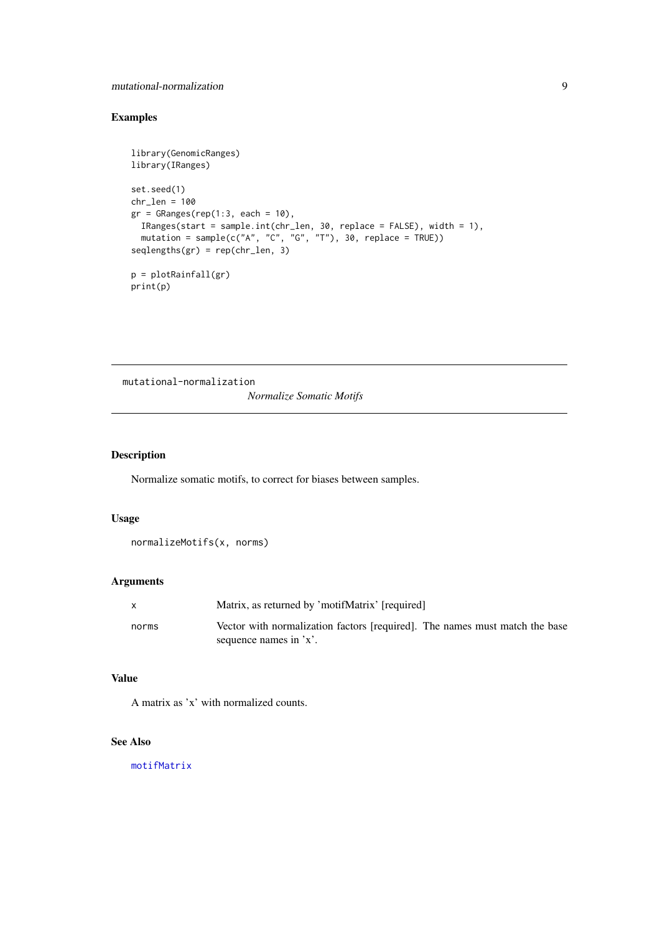### <span id="page-8-0"></span>mutational-normalization 9

## Examples

```
library(GenomicRanges)
library(IRanges)
set.seed(1)
chr<sub>l</sub>en = 100
gr = GRanges(rep(1:3, each = 10),IRanges(start = sample.int(chr_len, 30, replace = FALSE), width = 1),
  mutation = sample(c("A", "C", "G", "T"), 30, replace = TRUE))
seqlengths(gr) = rep(chr_len, 3)
p = plotRainfall(gr)
print(p)
```
mutational-normalization *Normalize Somatic Motifs*

## Description

Normalize somatic motifs, to correct for biases between samples.

## Usage

```
normalizeMotifs(x, norms)
```
## Arguments

|       | Matrix, as returned by 'motifMatrix' [required]                             |
|-------|-----------------------------------------------------------------------------|
| norms | Vector with normalization factors [required]. The names must match the base |
|       | sequence names in 'x'.                                                      |

#### Value

A matrix as 'x' with normalized counts.

## See Also

[motifMatrix](#page-6-1)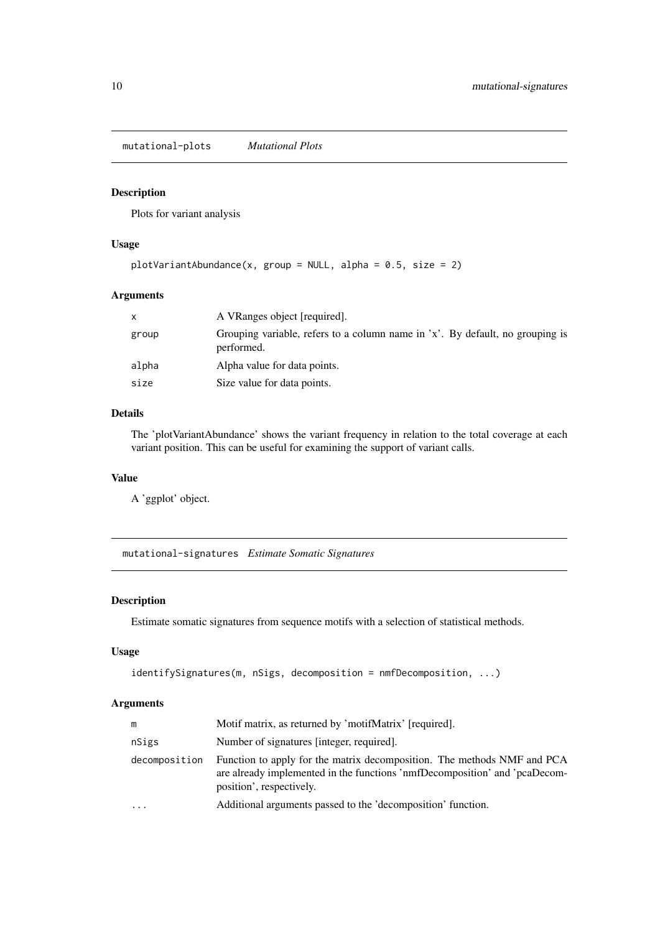<span id="page-9-0"></span>mutational-plots *Mutational Plots*

## Description

Plots for variant analysis

## Usage

```
plotVariantAbundance(x, group = NULL, alpha = 0.5, size = 2)
```
## Arguments

|       | A VRanges object [required].                                                                |
|-------|---------------------------------------------------------------------------------------------|
| group | Grouping variable, refers to a column name in 'x'. By default, no grouping is<br>performed. |
| alpha | Alpha value for data points.                                                                |
| size  | Size value for data points.                                                                 |
|       |                                                                                             |

## Details

The 'plotVariantAbundance' shows the variant frequency in relation to the total coverage at each variant position. This can be useful for examining the support of variant calls.

#### Value

A 'ggplot' object.

mutational-signatures *Estimate Somatic Signatures*

## <span id="page-9-1"></span>Description

Estimate somatic signatures from sequence motifs with a selection of statistical methods.

## Usage

```
identifySignatures(m, nSigs, decomposition = nmfDecomposition, ...)
```
## Arguments

| m             | Motif matrix, as returned by 'motifMatrix' [required].                                                                                                                            |
|---------------|-----------------------------------------------------------------------------------------------------------------------------------------------------------------------------------|
| nSigs         | Number of signatures (integer, required).                                                                                                                                         |
| decomposition | Function to apply for the matrix decomposition. The methods NMF and PCA<br>are already implemented in the functions 'nmfDecomposition' and 'pcaDecom-<br>position', respectively. |
| $\cdots$      | Additional arguments passed to the 'decomposition' function.                                                                                                                      |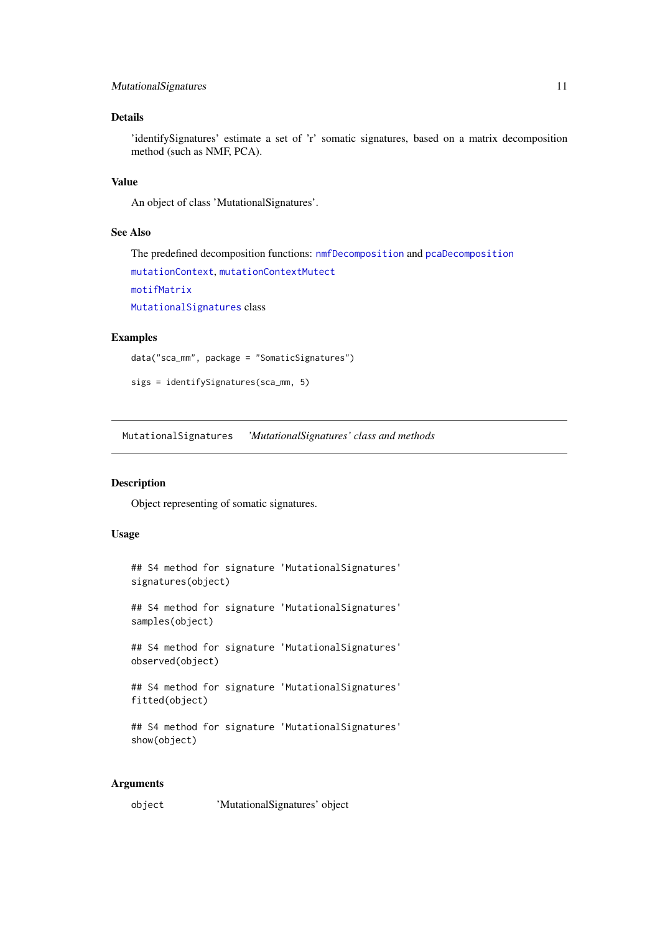#### <span id="page-10-0"></span>MutationalSignatures 11

## Details

'identifySignatures' estimate a set of 'r' somatic signatures, based on a matrix decomposition method (such as NMF, PCA).

## Value

An object of class 'MutationalSignatures'.

## See Also

The predefined decomposition functions: [nmfDecomposition](#page-2-1) and [pcaDecomposition](#page-2-1) [mutationContext](#page-11-1), [mutationContextMutect](#page-11-2) [motifMatrix](#page-6-1) [MutationalSignatures](#page-10-1) class

## Examples

```
data("sca_mm", package = "SomaticSignatures")
```

```
sigs = identifySignatures(sca_mm, 5)
```
<span id="page-10-1"></span>MutationalSignatures *'MutationalSignatures' class and methods*

## Description

Object representing of somatic signatures.

## Usage

```
## S4 method for signature 'MutationalSignatures'
signatures(object)
## S4 method for signature 'MutationalSignatures'
```
samples(object)

## S4 method for signature 'MutationalSignatures' observed(object)

```
## S4 method for signature 'MutationalSignatures'
fitted(object)
```

```
## S4 method for signature 'MutationalSignatures'
show(object)
```
## Arguments

object 'MutationalSignatures' object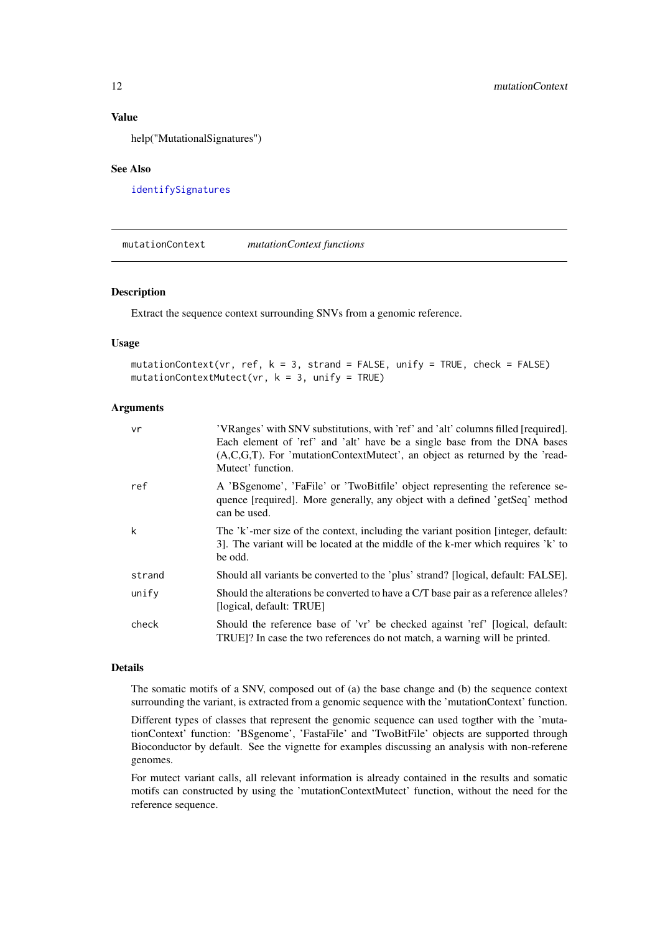## Value

help("MutationalSignatures")

## See Also

[identifySignatures](#page-9-1)

<span id="page-11-1"></span>mutationContext *mutationContext functions*

#### <span id="page-11-2"></span>Description

Extract the sequence context surrounding SNVs from a genomic reference.

#### Usage

```
mutationContext(vr, ref, k = 3, strand = FALSE, unify = TRUE, check = FALSE)
mutationContextMutect(vr, k = 3, unify = TRUE)
```
## Arguments

| vr     | 'VRanges' with SNV substitutions, with 'ref' and 'alt' columns filled [required].<br>Each element of 'ref' and 'alt' have be a single base from the DNA bases<br>$(A, C, G, T)$ . For 'mutationContextMutect', an object as returned by the 'read-<br>Mutect' function. |
|--------|-------------------------------------------------------------------------------------------------------------------------------------------------------------------------------------------------------------------------------------------------------------------------|
| ref    | A 'BSgenome', 'FaFile' or 'TwoBitfile' object representing the reference se-<br>quence [required]. More generally, any object with a defined 'getSeq' method<br>can be used.                                                                                            |
| k      | The 'k'-mer size of the context, including the variant position [integer, default:<br>3. The variant will be located at the middle of the k-mer which requires 'k' to<br>be odd.                                                                                        |
| strand | Should all variants be converted to the 'plus' strand? [logical, default: FALSE].                                                                                                                                                                                       |
| unify  | Should the alterations be converted to have a C/T base pair as a reference alleles?<br>[logical, default: TRUE]                                                                                                                                                         |
| check  | Should the reference base of 'vr' be checked against 'ref' [logical, default:<br>TRUE]? In case the two references do not match, a warning will be printed.                                                                                                             |

#### Details

The somatic motifs of a SNV, composed out of (a) the base change and (b) the sequence context surrounding the variant, is extracted from a genomic sequence with the 'mutationContext' function.

Different types of classes that represent the genomic sequence can used togther with the 'mutationContext' function: 'BSgenome', 'FastaFile' and 'TwoBitFile' objects are supported through Bioconductor by default. See the vignette for examples discussing an analysis with non-referene genomes.

For mutect variant calls, all relevant information is already contained in the results and somatic motifs can constructed by using the 'mutationContextMutect' function, without the need for the reference sequence.

<span id="page-11-0"></span>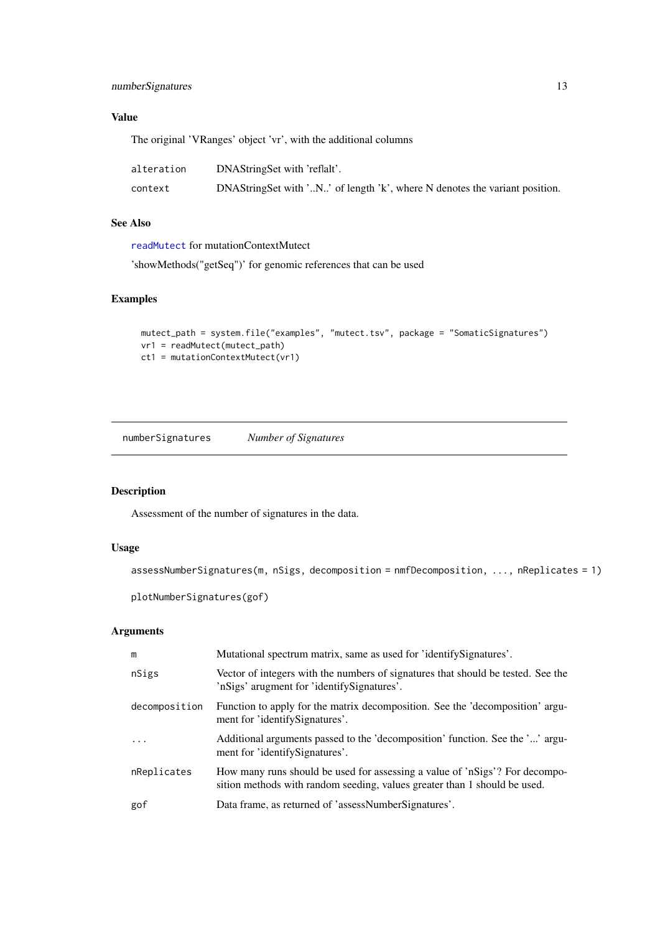## <span id="page-12-0"></span>numberSignatures 13

## Value

The original 'VRanges' object 'vr', with the additional columns

| alteration | DNAStringSet with 'reflalt'.                                               |
|------------|----------------------------------------------------------------------------|
| context    | DNAStringSet with 'N' of length 'k', where N denotes the variant position. |

## See Also

[readMutect](#page-14-1) for mutationContextMutect

'showMethods("getSeq")' for genomic references that can be used

## Examples

```
mutect_path = system.file("examples", "mutect.tsv", package = "SomaticSignatures")
vr1 = readMutect(mutect_path)
ct1 = mutationContextMutect(vr1)
```
numberSignatures *Number of Signatures*

## Description

Assessment of the number of signatures in the data.

## Usage

```
assessNumberSignatures(m, nSigs, decomposition = nmfDecomposition, ..., nReplicates = 1)
```

```
plotNumberSignatures(gof)
```
#### Arguments

| m             | Mutational spectrum matrix, same as used for 'identifySignatures'.                                                                                       |
|---------------|----------------------------------------------------------------------------------------------------------------------------------------------------------|
| nSigs         | Vector of integers with the numbers of signatures that should be tested. See the<br>'nSigs' arugment for 'identifySignatures'.                           |
| decomposition | Function to apply for the matrix decomposition. See the 'decomposition' argu-<br>ment for 'identifySignatures'.                                          |
| $\ddots$ .    | Additional arguments passed to the 'decomposition' function. See the '' argu-<br>ment for 'identifySignatures'.                                          |
| nReplicates   | How many runs should be used for assessing a value of 'nSigs'? For decompo-<br>sition methods with random seeding, values greater than 1 should be used. |
| gof           | Data frame, as returned of 'assessNumberSignatures'.                                                                                                     |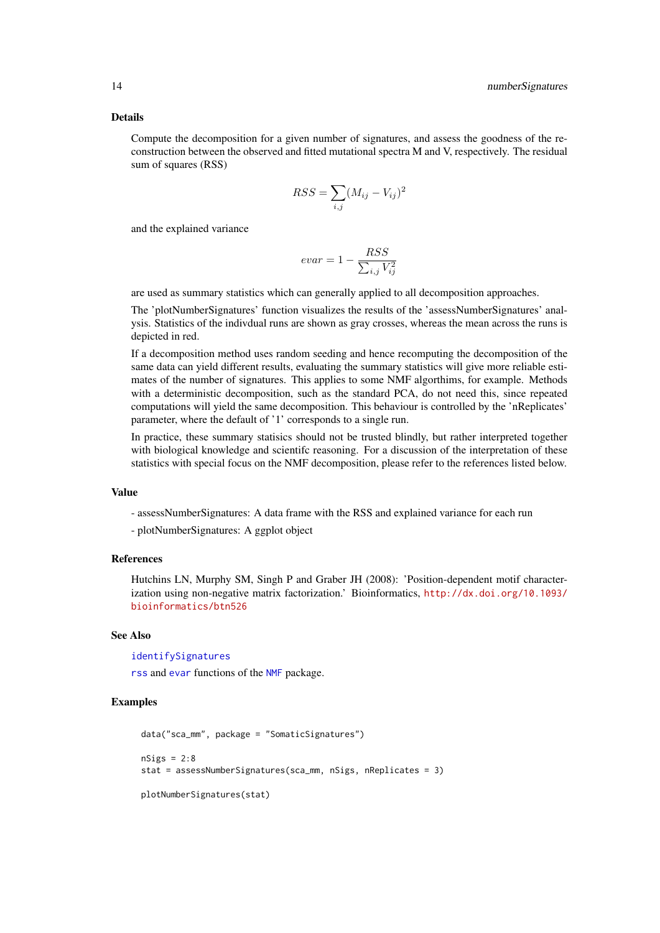#### <span id="page-13-0"></span>Details

Compute the decomposition for a given number of signatures, and assess the goodness of the reconstruction between the observed and fitted mutational spectra M and V, respectively. The residual sum of squares (RSS)

$$
RSS = \sum_{i,j} (M_{ij} - V_{ij})^2
$$

and the explained variance

$$
evar = 1 - \frac{RSS}{\sum_{i,j} V_{ij}^2}
$$

are used as summary statistics which can generally applied to all decomposition approaches.

The 'plotNumberSignatures' function visualizes the results of the 'assessNumberSignatures' analysis. Statistics of the indivdual runs are shown as gray crosses, whereas the mean across the runs is depicted in red.

If a decomposition method uses random seeding and hence recomputing the decomposition of the same data can yield different results, evaluating the summary statistics will give more reliable estimates of the number of signatures. This applies to some NMF algorthims, for example. Methods with a deterministic decomposition, such as the standard PCA, do not need this, since repeated computations will yield the same decomposition. This behaviour is controlled by the 'nReplicates' parameter, where the default of '1' corresponds to a single run.

In practice, these summary statisics should not be trusted blindly, but rather interpreted together with biological knowledge and scientifc reasoning. For a discussion of the interpretation of these statistics with special focus on the NMF decomposition, please refer to the references listed below.

#### Value

- assessNumberSignatures: A data frame with the RSS and explained variance for each run

- plotNumberSignatures: A ggplot object

#### References

Hutchins LN, Murphy SM, Singh P and Graber JH (2008): 'Position-dependent motif characterization using non-negative matrix factorization.' Bioinformatics, [http://dx.doi.org/10.1093/](http://dx.doi.org/10.1093/bioinformatics/btn526) [bioinformatics/btn526](http://dx.doi.org/10.1093/bioinformatics/btn526)

#### See Also

[identifySignatures](#page-9-1)

[rss](#page-0-0) and [evar](#page-0-0) functions of the [NMF](#page-0-0) package.

#### Examples

```
data("sca_mm", package = "SomaticSignatures")
nSigs = 2:8stat = assessNumberSignatures(sca_mm, nSigs, nReplicates = 3)
plotNumberSignatures(stat)
```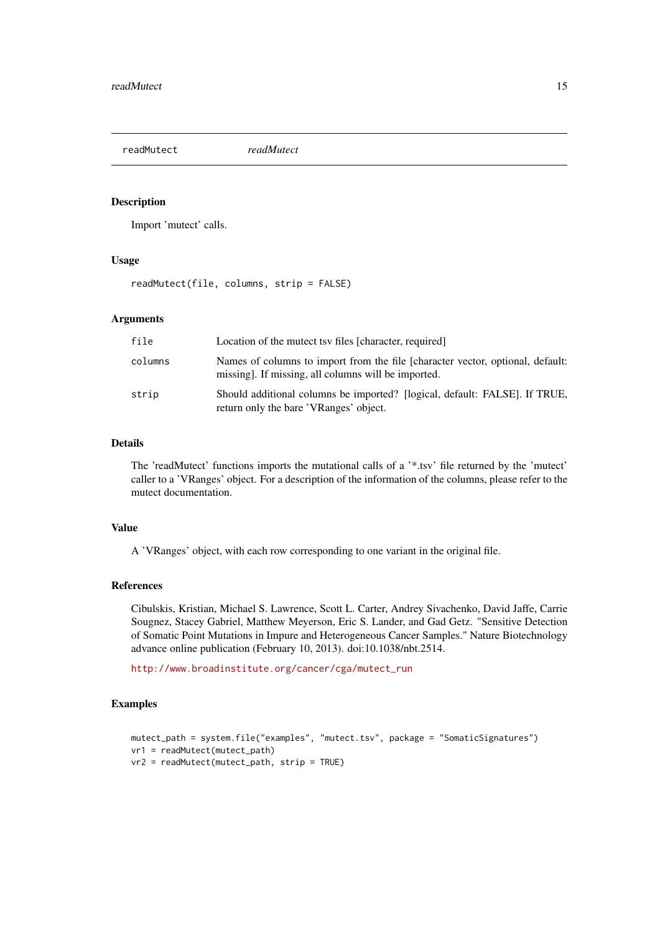<span id="page-14-1"></span><span id="page-14-0"></span>

## Description

Import 'mutect' calls.

#### Usage

readMutect(file, columns, strip = FALSE)

#### Arguments

| file    | Location of the mutect tsy files [character, required]                                                                               |
|---------|--------------------------------------------------------------------------------------------------------------------------------------|
| columns | Names of columns to import from the file [character vector, optional, default:<br>missing. If missing, all columns will be imported. |
| strip   | Should additional columns be imported? [logical, default: FALSE]. If TRUE,<br>return only the bare 'VRanges' object.                 |

#### Details

The 'readMutect' functions imports the mutational calls of a '\*.tsv' file returned by the 'mutect' caller to a 'VRanges' object. For a description of the information of the columns, please refer to the mutect documentation.

## Value

A 'VRanges' object, with each row corresponding to one variant in the original file.

#### References

Cibulskis, Kristian, Michael S. Lawrence, Scott L. Carter, Andrey Sivachenko, David Jaffe, Carrie Sougnez, Stacey Gabriel, Matthew Meyerson, Eric S. Lander, and Gad Getz. "Sensitive Detection of Somatic Point Mutations in Impure and Heterogeneous Cancer Samples." Nature Biotechnology advance online publication (February 10, 2013). doi:10.1038/nbt.2514.

[http://www.broadinstitute.org/cancer/cga/mutect\\_run](http://www.broadinstitute.org/cancer/cga/mutect_run)

## Examples

```
mutect_path = system.file("examples", "mutect.tsv", package = "SomaticSignatures")
vr1 = readMutect(mutect_path)
vr2 = readMutect(mutect_path, strip = TRUE)
```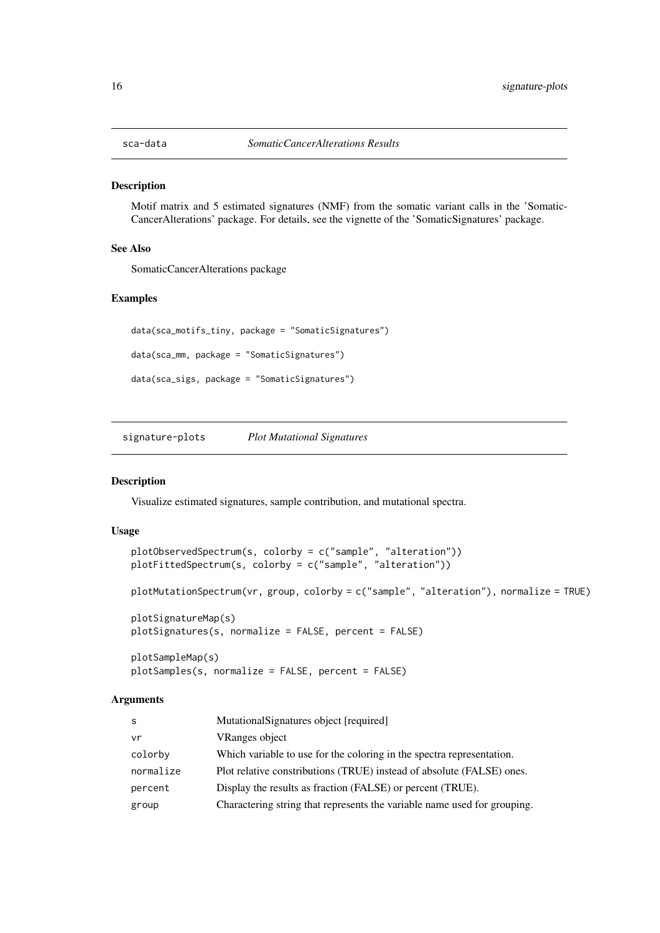<span id="page-15-0"></span>

#### Description

Motif matrix and 5 estimated signatures (NMF) from the somatic variant calls in the 'Somatic-CancerAlterations' package. For details, see the vignette of the 'SomaticSignatures' package.

#### See Also

SomaticCancerAlterations package

#### Examples

```
data(sca_motifs_tiny, package = "SomaticSignatures")
data(sca_mm, package = "SomaticSignatures")
data(sca_sigs, package = "SomaticSignatures")
```
signature-plots *Plot Mutational Signatures*

## Description

Visualize estimated signatures, sample contribution, and mutational spectra.

## Usage

```
plotObservedSpectrum(s, colorby = c("sample", "alteration"))
plotFittedSpectrum(s, colorby = c("sample", "alteration"))
plotMutationSpectrum(vr, group, colorby = c("sample", "alteration"), normalize = TRUE)
plotSignatureMap(s)
plotSignatures(s, normalize = FALSE, percent = FALSE)
plotSampleMap(s)
plotSamples(s, normalize = FALSE, percent = FALSE)
```
#### Arguments

| <sub>S</sub> | Mutational Signatures object [required]                                  |
|--------------|--------------------------------------------------------------------------|
| vr           | VRanges object                                                           |
| colorby      | Which variable to use for the coloring in the spectra representation.    |
| normalize    | Plot relative constributions (TRUE) instead of absolute (FALSE) ones.    |
| percent      | Display the results as fraction (FALSE) or percent (TRUE).               |
| group        | Charactering string that represents the variable name used for grouping. |
|              |                                                                          |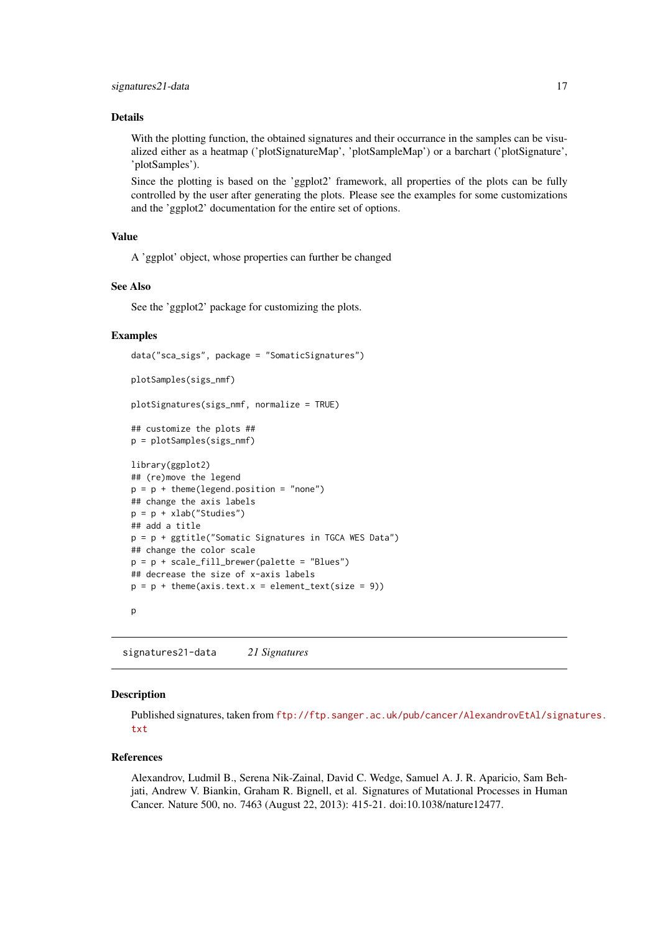#### <span id="page-16-0"></span>Details

With the plotting function, the obtained signatures and their occurrance in the samples can be visualized either as a heatmap ('plotSignatureMap', 'plotSampleMap') or a barchart ('plotSignature', 'plotSamples').

Since the plotting is based on the 'ggplot2' framework, all properties of the plots can be fully controlled by the user after generating the plots. Please see the examples for some customizations and the 'ggplot2' documentation for the entire set of options.

## Value

A 'ggplot' object, whose properties can further be changed

## See Also

See the 'ggplot2' package for customizing the plots.

#### Examples

```
data("sca_sigs", package = "SomaticSignatures")
plotSamples(sigs_nmf)
plotSignatures(sigs_nmf, normalize = TRUE)
## customize the plots ##
p = plotSamples(sigs_nmf)
library(ggplot2)
## (re)move the legend
p = p + theme(legend.position = "none")
## change the axis labels
p = p + xlab("Studies")
## add a title
p = p + ggtitle("Somatic Signatures in TGCA WES Data")
## change the color scale
p = p + scale_fill_brewer(palette = "Blues")
## decrease the size of x-axis labels
p = p + theme(axis.text.x = element_test(size = 9))
```
p

signatures21-data *21 Signatures*

#### Description

Published signatures, taken from [ftp://ftp.sanger.ac.uk/pub/cancer/AlexandrovEtAl/sign](ftp://ftp.sanger.ac.uk/pub/cancer/AlexandrovEtAl/signatures.txt)atures. [txt](ftp://ftp.sanger.ac.uk/pub/cancer/AlexandrovEtAl/signatures.txt)

#### References

Alexandrov, Ludmil B., Serena Nik-Zainal, David C. Wedge, Samuel A. J. R. Aparicio, Sam Behjati, Andrew V. Biankin, Graham R. Bignell, et al. Signatures of Mutational Processes in Human Cancer. Nature 500, no. 7463 (August 22, 2013): 415-21. doi:10.1038/nature12477.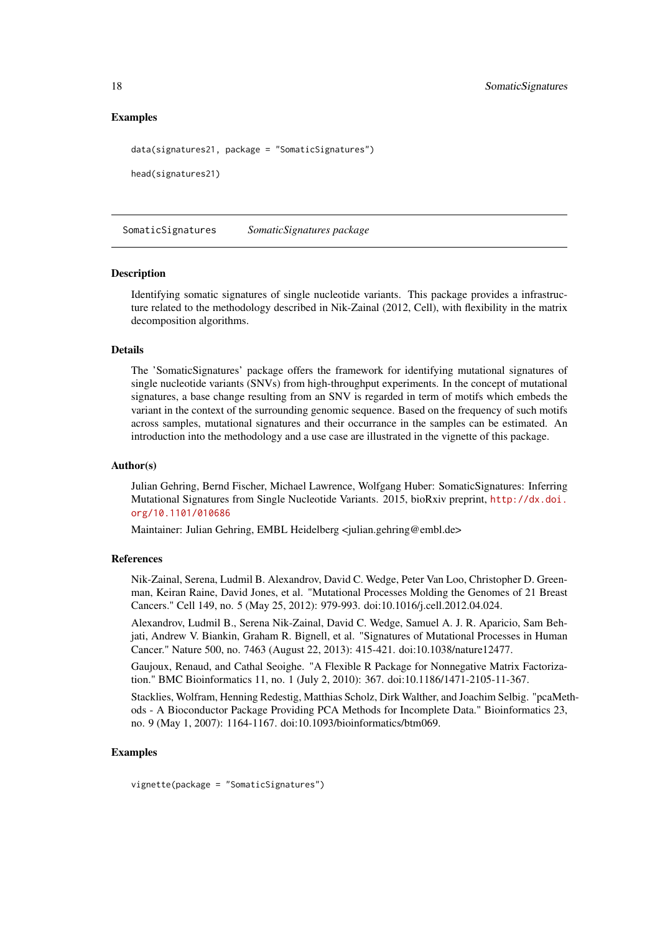<span id="page-17-0"></span>18 SomaticSignatures **SomaticSignatures** 

## Examples

data(signatures21, package = "SomaticSignatures")

head(signatures21)

SomaticSignatures *SomaticSignatures package*

#### Description

Identifying somatic signatures of single nucleotide variants. This package provides a infrastructure related to the methodology described in Nik-Zainal (2012, Cell), with flexibility in the matrix decomposition algorithms.

## Details

The 'SomaticSignatures' package offers the framework for identifying mutational signatures of single nucleotide variants (SNVs) from high-throughput experiments. In the concept of mutational signatures, a base change resulting from an SNV is regarded in term of motifs which embeds the variant in the context of the surrounding genomic sequence. Based on the frequency of such motifs across samples, mutational signatures and their occurrance in the samples can be estimated. An introduction into the methodology and a use case are illustrated in the vignette of this package.

#### Author(s)

Julian Gehring, Bernd Fischer, Michael Lawrence, Wolfgang Huber: SomaticSignatures: Inferring Mutational Signatures from Single Nucleotide Variants. 2015, bioRxiv preprint, [http://dx.doi.](http://dx.doi.org/10.1101/010686) [org/10.1101/010686](http://dx.doi.org/10.1101/010686)

Maintainer: Julian Gehring, EMBL Heidelberg <julian.gehring@embl.de>

#### References

Nik-Zainal, Serena, Ludmil B. Alexandrov, David C. Wedge, Peter Van Loo, Christopher D. Greenman, Keiran Raine, David Jones, et al. "Mutational Processes Molding the Genomes of 21 Breast Cancers." Cell 149, no. 5 (May 25, 2012): 979-993. doi:10.1016/j.cell.2012.04.024.

Alexandrov, Ludmil B., Serena Nik-Zainal, David C. Wedge, Samuel A. J. R. Aparicio, Sam Behjati, Andrew V. Biankin, Graham R. Bignell, et al. "Signatures of Mutational Processes in Human Cancer." Nature 500, no. 7463 (August 22, 2013): 415-421. doi:10.1038/nature12477.

Gaujoux, Renaud, and Cathal Seoighe. "A Flexible R Package for Nonnegative Matrix Factorization." BMC Bioinformatics 11, no. 1 (July 2, 2010): 367. doi:10.1186/1471-2105-11-367.

Stacklies, Wolfram, Henning Redestig, Matthias Scholz, Dirk Walther, and Joachim Selbig. "pcaMethods - A Bioconductor Package Providing PCA Methods for Incomplete Data." Bioinformatics 23, no. 9 (May 1, 2007): 1164-1167. doi:10.1093/bioinformatics/btm069.

#### Examples

vignette(package = "SomaticSignatures")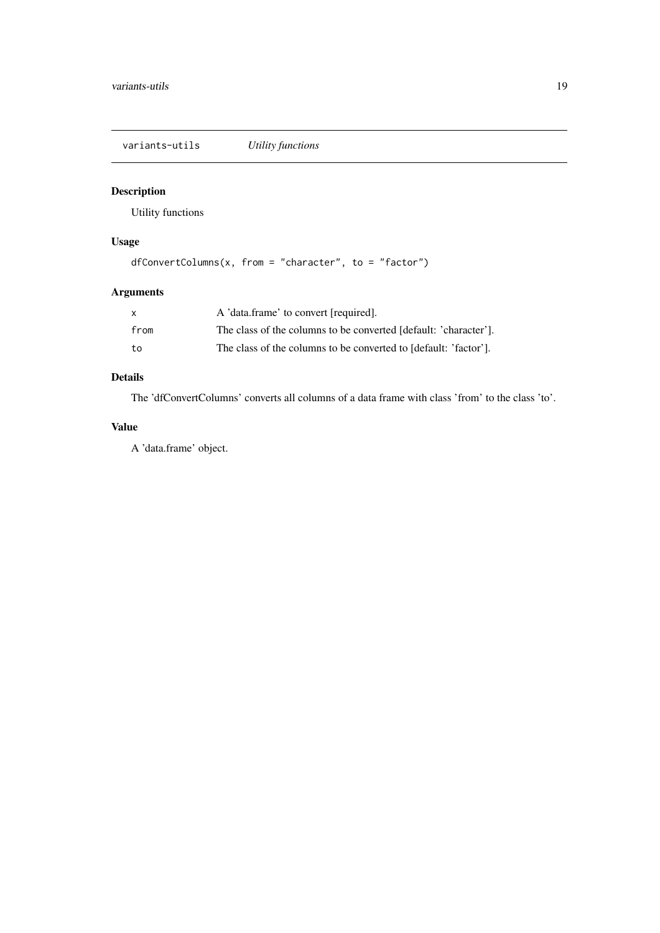<span id="page-18-0"></span>variants-utils *Utility functions*

## Description

Utility functions

## Usage

```
dfConvertColumns(x, from = "character", to = "factor")
```
## Arguments

| X    | A 'data.frame' to convert [required].                            |
|------|------------------------------------------------------------------|
| from | The class of the columns to be converted [default: 'character']. |
| to   | The class of the columns to be converted to [default: 'factor']. |

## Details

The 'dfConvertColumns' converts all columns of a data frame with class 'from' to the class 'to'.

## Value

A 'data.frame' object.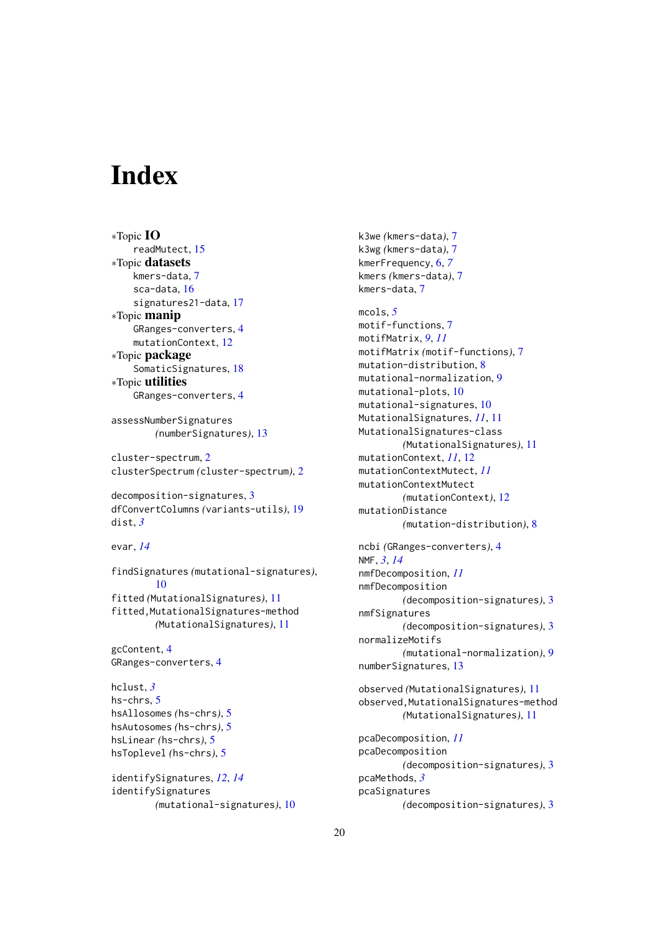# <span id="page-19-0"></span>Index

```
∗Topic IO
    readMutect, 15
∗Topic datasets
    kmers-data, 7
    sca-data, 16
    signatures21-data, 17
∗Topic manip
    GRanges-converters, 4
    mutationContext, 12
∗Topic package
    SomaticSignatures, 18
∗Topic utilities
    GRanges-converters, 4
assessNumberSignatures
        (numberSignatures), 13
cluster-spectrum, 2
clusterSpectrum (cluster-spectrum), 2
decomposition-signatures, 3
dfConvertColumns (variants-utils), 19
dist, 3
evar, 14
findSignatures (mutational-signatures),
        10
fitted (MutationalSignatures), 11
fitted,MutationalSignatures-method
        (MutationalSignatures), 11
gcContent, 4
GRanges-converters, 4
hclust, 3
hs-chrs, 5
hsAllosomes (hs-chrs), 5
hsAutosomes (hs-chrs), 5
hsLinear (hs-chrs), 5
hsToplevel (hs-chrs), 5
identifySignatures, 12, 14
identifySignatures
        (mutational-signatures), 10
```
k3we *(*kmers-data*)*, [7](#page-6-0) k3wg *(*kmers-data*)*, [7](#page-6-0) kmerFrequency, [6,](#page-5-0) *[7](#page-6-0)* kmers *(*kmers-data*)*, [7](#page-6-0) kmers-data, [7](#page-6-0) mcols, *[5](#page-4-0)* motif-functions, [7](#page-6-0) motifMatrix, *[9](#page-8-0)*, *[11](#page-10-0)* motifMatrix *(*motif-functions*)*, [7](#page-6-0) mutation-distribution, [8](#page-7-0) mutational-normalization, [9](#page-8-0) mutational-plots, [10](#page-9-0) mutational-signatures, [10](#page-9-0) MutationalSignatures, *[11](#page-10-0)*, [11](#page-10-0) MutationalSignatures-class *(*MutationalSignatures*)*, [11](#page-10-0) mutationContext, *[11](#page-10-0)*, [12](#page-11-0) mutationContextMutect, *[11](#page-10-0)* mutationContextMutect *(*mutationContext*)*, [12](#page-11-0) mutationDistance *(*mutation-distribution*)*, [8](#page-7-0) ncbi *(*GRanges-converters*)*, [4](#page-3-0) NMF, *[3](#page-2-0)*, *[14](#page-13-0)* nmfDecomposition, *[11](#page-10-0)* nmfDecomposition *(*decomposition-signatures*)*, [3](#page-2-0) nmfSignatures *(*decomposition-signatures*)*, [3](#page-2-0) normalizeMotifs *(*mutational-normalization*)*, [9](#page-8-0) numberSignatures, [13](#page-12-0) observed *(*MutationalSignatures*)*, [11](#page-10-0) observed,MutationalSignatures-method *(*MutationalSignatures*)*, [11](#page-10-0) pcaDecomposition, *[11](#page-10-0)* pcaDecomposition *(*decomposition-signatures*)*, [3](#page-2-0) pcaMethods, *[3](#page-2-0)* pcaSignatures *(*decomposition-signatures*)*, [3](#page-2-0)